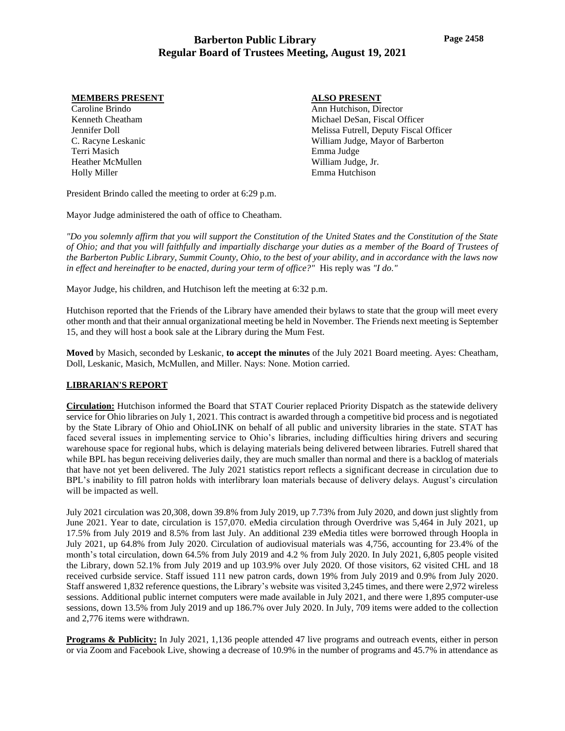### **MEMBERS PRESENT**

Caroline Brindo Kenneth Cheatham Jennifer Doll C. Racyne Leskanic Terri Masich Heather McMullen Holly Miller

## **ALSO PRESENT**

Ann Hutchison, Director Michael DeSan, Fiscal Officer Melissa Futrell, Deputy Fiscal Officer William Judge, Mayor of Barberton Emma Judge William Judge, Jr. Emma Hutchison

President Brindo called the meeting to order at 6:29 p.m.

Mayor Judge administered the oath of office to Cheatham.

*"Do you solemnly affirm that you will support the Constitution of the United States and the Constitution of the State of Ohio; and that you will faithfully and impartially discharge your duties as a member of the Board of Trustees of the Barberton Public Library, Summit County, Ohio, to the best of your ability, and in accordance with the laws now in effect and hereinafter to be enacted, during your term of office?"* His reply was *"I do."*

Mayor Judge, his children, and Hutchison left the meeting at 6:32 p.m.

Hutchison reported that the Friends of the Library have amended their bylaws to state that the group will meet every other month and that their annual organizational meeting be held in November. The Friends next meeting is September 15, and they will host a book sale at the Library during the Mum Fest.

**Moved** by Masich, seconded by Leskanic, **to accept the minutes** of the July 2021 Board meeting. Ayes: Cheatham, Doll, Leskanic, Masich, McMullen, and Miller. Nays: None. Motion carried.

## **LIBRARIAN'S REPORT**

**Circulation:** Hutchison informed the Board that STAT Courier replaced Priority Dispatch as the statewide delivery service for Ohio libraries on July 1, 2021. This contract is awarded through a competitive bid process and is negotiated by the State Library of Ohio and OhioLINK on behalf of all public and university libraries in the state. STAT has faced several issues in implementing service to Ohio's libraries, including difficulties hiring drivers and securing warehouse space for regional hubs, which is delaying materials being delivered between libraries. Futrell shared that while BPL has begun receiving deliveries daily, they are much smaller than normal and there is a backlog of materials that have not yet been delivered. The July 2021 statistics report reflects a significant decrease in circulation due to BPL's inability to fill patron holds with interlibrary loan materials because of delivery delays. August's circulation will be impacted as well.

July 2021 circulation was 20,308, down 39.8% from July 2019, up 7.73% from July 2020, and down just slightly from June 2021. Year to date, circulation is 157,070. eMedia circulation through Overdrive was 5,464 in July 2021, up 17.5% from July 2019 and 8.5% from last July. An additional 239 eMedia titles were borrowed through Hoopla in July 2021, up 64.8% from July 2020. Circulation of audiovisual materials was 4,756, accounting for 23.4% of the month's total circulation, down 64.5% from July 2019 and 4.2 % from July 2020. In July 2021, 6,805 people visited the Library, down 52.1% from July 2019 and up 103.9% over July 2020. Of those visitors, 62 visited CHL and 18 received curbside service. Staff issued 111 new patron cards, down 19% from July 2019 and 0.9% from July 2020. Staff answered 1,832 reference questions, the Library's website was visited 3,245 times, and there were 2,972 wireless sessions. Additional public internet computers were made available in July 2021, and there were 1,895 computer-use sessions, down 13.5% from July 2019 and up 186.7% over July 2020. In July, 709 items were added to the collection and 2,776 items were withdrawn.

**Programs & Publicity:** In July 2021, 1,136 people attended 47 live programs and outreach events, either in person or via Zoom and Facebook Live, showing a decrease of 10.9% in the number of programs and 45.7% in attendance as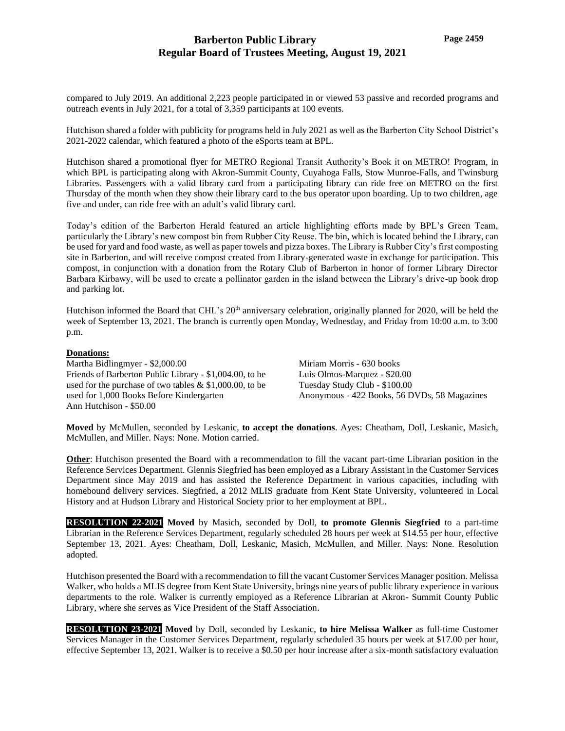compared to July 2019. An additional 2,223 people participated in or viewed 53 passive and recorded programs and outreach events in July 2021, for a total of 3,359 participants at 100 events.

Hutchison shared a folder with publicity for programs held in July 2021 as well as the Barberton City School District's 2021-2022 calendar, which featured a photo of the eSports team at BPL.

Hutchison shared a promotional flyer for METRO Regional Transit Authority's Book it on METRO! Program, in which BPL is participating along with Akron-Summit County, Cuyahoga Falls, Stow Munroe-Falls, and Twinsburg Libraries. Passengers with a valid library card from a participating library can ride free on METRO on the first Thursday of the month when they show their library card to the bus operator upon boarding. Up to two children, age five and under, can ride free with an adult's valid library card.

Today's edition of the Barberton Herald featured an article highlighting efforts made by BPL's Green Team, particularly the Library's new compost bin from Rubber City Reuse. The bin, which is located behind the Library, can be used for yard and food waste, as well as paper towels and pizza boxes. The Library is Rubber City's first composting site in Barberton, and will receive compost created from Library-generated waste in exchange for participation. This compost, in conjunction with a donation from the Rotary Club of Barberton in honor of former Library Director Barbara Kirbawy, will be used to create a pollinator garden in the island between the Library's drive-up book drop and parking lot.

Hutchison informed the Board that CHL's 20<sup>th</sup> anniversary celebration, originally planned for 2020, will be held the week of September 13, 2021. The branch is currently open Monday, Wednesday, and Friday from 10:00 a.m. to 3:00 p.m.

### **Donations:**

Martha Bidlingmyer - \$2,000.00 Friends of Barberton Public Library - \$1,004.00, to be used for the purchase of two tables & \$1,000.00, to be used for 1,000 Books Before Kindergarten Ann Hutchison - \$50.00

Miriam Morris - 630 books Luis Olmos-Marquez - \$20.00 Tuesday Study Club - \$100.00 Anonymous - 422 Books, 56 DVDs, 58 Magazines

**Moved** by McMullen, seconded by Leskanic, **to accept the donations**. Ayes: Cheatham, Doll, Leskanic, Masich, McMullen, and Miller. Nays: None. Motion carried.

**Other**: Hutchison presented the Board with a recommendation to fill the vacant part-time Librarian position in the Reference Services Department. Glennis Siegfried has been employed as a Library Assistant in the Customer Services Department since May 2019 and has assisted the Reference Department in various capacities, including with homebound delivery services. Siegfried, a 2012 MLIS graduate from Kent State University, volunteered in Local History and at Hudson Library and Historical Society prior to her employment at BPL.

**RESOLUTION 22-2021 Moved** by Masich, seconded by Doll, **to promote Glennis Siegfried** to a part-time Librarian in the Reference Services Department, regularly scheduled 28 hours per week at \$14.55 per hour, effective September 13, 2021. Ayes: Cheatham, Doll, Leskanic, Masich, McMullen, and Miller. Nays: None. Resolution adopted.

Hutchison presented the Board with a recommendation to fill the vacant Customer Services Manager position. Melissa Walker, who holds a MLIS degree from Kent State University, brings nine years of public library experience in various departments to the role. Walker is currently employed as a Reference Librarian at Akron- Summit County Public Library, where she serves as Vice President of the Staff Association.

**RESOLUTION 23-2021 Moved** by Doll, seconded by Leskanic, **to hire Melissa Walker** as full-time Customer Services Manager in the Customer Services Department, regularly scheduled 35 hours per week at \$17.00 per hour, effective September 13, 2021. Walker is to receive a \$0.50 per hour increase after a six-month satisfactory evaluation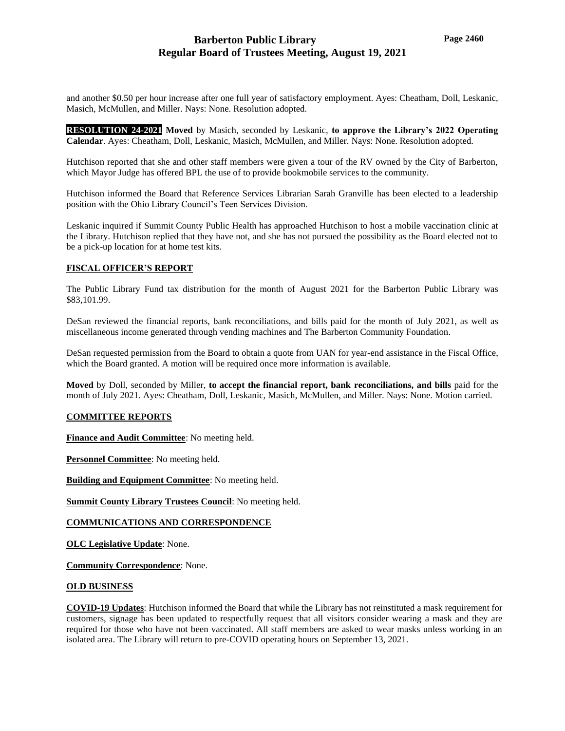and another \$0.50 per hour increase after one full year of satisfactory employment. Ayes: Cheatham, Doll, Leskanic, Masich, McMullen, and Miller. Nays: None. Resolution adopted.

**RESOLUTION 24-2021 Moved** by Masich, seconded by Leskanic, **to approve the Library's 2022 Operating Calendar**. Ayes: Cheatham, Doll, Leskanic, Masich, McMullen, and Miller. Nays: None. Resolution adopted.

Hutchison reported that she and other staff members were given a tour of the RV owned by the City of Barberton, which Mayor Judge has offered BPL the use of to provide bookmobile services to the community.

Hutchison informed the Board that Reference Services Librarian Sarah Granville has been elected to a leadership position with the Ohio Library Council's Teen Services Division.

Leskanic inquired if Summit County Public Health has approached Hutchison to host a mobile vaccination clinic at the Library. Hutchison replied that they have not, and she has not pursued the possibility as the Board elected not to be a pick-up location for at home test kits.

### **FISCAL OFFICER'S REPORT**

The Public Library Fund tax distribution for the month of August 2021 for the Barberton Public Library was \$83,101.99.

DeSan reviewed the financial reports, bank reconciliations, and bills paid for the month of July 2021, as well as miscellaneous income generated through vending machines and The Barberton Community Foundation.

DeSan requested permission from the Board to obtain a quote from UAN for year-end assistance in the Fiscal Office, which the Board granted. A motion will be required once more information is available.

**Moved** by Doll, seconded by Miller, **to accept the financial report, bank reconciliations, and bills** paid for the month of July 2021. Ayes: Cheatham, Doll, Leskanic, Masich, McMullen, and Miller. Nays: None. Motion carried.

### **COMMITTEE REPORTS**

**Finance and Audit Committee**: No meeting held.

**Personnel Committee**: No meeting held.

**Building and Equipment Committee**: No meeting held.

**Summit County Library Trustees Council**: No meeting held.

## **COMMUNICATIONS AND CORRESPONDENCE**

**OLC Legislative Update**: None.

**Community Correspondence**: None.

### **OLD BUSINESS**

**COVID-19 Updates**: Hutchison informed the Board that while the Library has not reinstituted a mask requirement for customers, signage has been updated to respectfully request that all visitors consider wearing a mask and they are required for those who have not been vaccinated. All staff members are asked to wear masks unless working in an isolated area. The Library will return to pre-COVID operating hours on September 13, 2021.